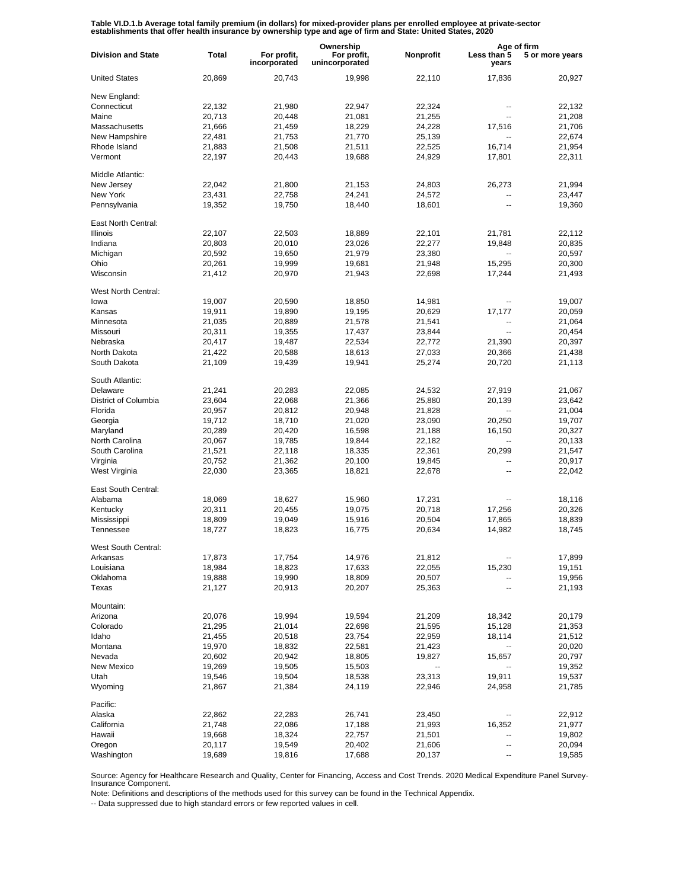Table VI.D.1.b Average total family premium (in dollars) for mixed-provider plans per enrolled employee at private-sector<br>establishments that offer health insurance by ownership type and age of firm and State: United State

|                           |              |                             | Ownership                     |           |                          | Age of firm     |  |
|---------------------------|--------------|-----------------------------|-------------------------------|-----------|--------------------------|-----------------|--|
| <b>Division and State</b> | <b>Total</b> | For profit,<br>incorporated | For profit,<br>unincorporated | Nonprofit | Less than 5<br>years     | 5 or more years |  |
| <b>United States</b>      | 20,869       | 20,743                      | 19,998                        | 22,110    | 17,836                   | 20,927          |  |
| New England:              |              |                             |                               |           |                          |                 |  |
| Connecticut               | 22,132       | 21,980                      | 22,947                        | 22,324    | --                       | 22,132          |  |
| Maine                     | 20,713       | 20,448                      | 21,081                        | 21,255    | $\overline{\phantom{a}}$ | 21,208          |  |
| Massachusetts             | 21,666       | 21,459                      | 18,229                        | 24,228    | 17,516                   | 21,706          |  |
| New Hampshire             | 22,481       | 21,753                      | 21,770                        | 25,139    | $\overline{\phantom{a}}$ | 22,674          |  |
| Rhode Island              | 21,883       | 21,508                      | 21,511                        | 22,525    | 16,714                   | 21,954          |  |
| Vermont                   | 22,197       | 20,443                      | 19,688                        | 24,929    | 17,801                   | 22,311          |  |
| Middle Atlantic:          |              |                             |                               |           |                          |                 |  |
| New Jersey                | 22,042       | 21,800                      | 21,153                        | 24,803    | 26,273                   | 21,994          |  |
| New York                  | 23,431       | 22,758                      | 24,241                        | 24,572    | --                       | 23,447          |  |
| Pennsylvania              | 19,352       | 19,750                      | 18,440                        | 18,601    | $\overline{a}$           | 19,360          |  |
| East North Central:       |              |                             |                               |           |                          |                 |  |
| <b>Illinois</b>           | 22,107       | 22,503                      | 18,889                        | 22,101    | 21,781                   | 22,112          |  |
| Indiana                   | 20,803       | 20,010                      | 23,026                        | 22,277    | 19,848                   | 20,835          |  |
| Michigan                  | 20,592       | 19,650                      | 21,979                        | 23,380    |                          | 20,597          |  |
| Ohio                      | 20,261       | 19,999                      | 19,681                        | 21,948    | 15,295                   | 20,300          |  |
| Wisconsin                 | 21,412       | 20,970                      | 21,943                        | 22,698    | 17,244                   | 21,493          |  |
| West North Central:       |              |                             |                               |           |                          |                 |  |
| lowa                      | 19,007       | 20,590                      | 18,850                        | 14,981    | --                       | 19,007          |  |
| Kansas                    | 19,911       | 19,890                      | 19,195                        | 20,629    | 17,177                   | 20,059          |  |
| Minnesota                 | 21,035       | 20,889                      | 21,578                        | 21,541    | ۰.                       | 21,064          |  |
| Missouri                  | 20,311       | 19,355                      | 17,437                        | 23,844    | $\overline{\phantom{a}}$ | 20,454          |  |
| Nebraska                  | 20,417       | 19,487                      | 22,534                        | 22,772    | 21,390                   | 20,397          |  |
| North Dakota              | 21,422       | 20,588                      | 18,613                        | 27,033    | 20,366                   | 21,438          |  |
| South Dakota              | 21,109       | 19,439                      | 19,941                        | 25,274    | 20,720                   | 21,113          |  |
| South Atlantic:           |              |                             |                               |           |                          |                 |  |
| Delaware                  | 21,241       | 20,283                      | 22,085                        | 24,532    | 27,919                   | 21,067          |  |
| District of Columbia      | 23,604       | 22,068                      | 21,366                        | 25,880    | 20,139                   | 23,642          |  |
| Florida                   | 20,957       | 20,812                      | 20,948                        | 21,828    | $\overline{a}$           | 21,004          |  |
| Georgia                   | 19,712       | 18,710                      | 21,020                        | 23,090    | 20,250                   | 19,707          |  |
| Maryland                  | 20,289       | 20,420                      | 16,598                        | 21,188    | 16,150                   | 20,327          |  |
| North Carolina            | 20,067       | 19,785                      | 19,844                        | 22,182    | $\overline{a}$           | 20,133          |  |
| South Carolina            | 21,521       | 22,118                      | 18,335                        | 22,361    | 20,299                   | 21,547          |  |
| Virginia                  | 20,752       | 21,362                      | 20,100                        | 19,845    | $\overline{a}$           | 20,917          |  |
| West Virginia             | 22,030       | 23,365                      | 18,821                        | 22,678    | $\overline{a}$           | 22,042          |  |
| East South Central:       |              |                             |                               |           |                          |                 |  |
| Alabama                   | 18,069       | 18,627                      | 15,960                        | 17,231    |                          | 18,116          |  |
| Kentucky                  | 20,311       | 20,455                      | 19,075                        | 20,718    | 17,256                   | 20,326          |  |
| Mississippi               | 18,809       | 19,049                      | 15,916                        | 20,504    | 17,865                   | 18,839          |  |
| Tennessee                 | 18,727       | 18,823                      | 16,775                        | 20,634    | 14,982                   | 18,745          |  |
| West South Central:       |              |                             |                               |           |                          |                 |  |
| Arkansas                  | 17,873       | 17,754                      | 14,976                        | 21,812    |                          | 17,899          |  |
| Louisiana                 | 18,984       | 18,823                      | 17,633                        | 22,055    | 15,230                   | 19,151          |  |
| Oklahoma                  | 19,888       | 19,990                      | 18,809                        | 20,507    |                          | 19,956          |  |
| Texas                     | 21,127       | 20,913                      | 20,207                        | 25,363    | --                       | 21,193          |  |
| Mountain:                 |              |                             |                               |           |                          |                 |  |
| Arizona                   | 20,076       | 19,994                      | 19,594                        | 21,209    | 18,342                   | 20,179          |  |
| Colorado                  | 21,295       | 21,014                      | 22,698                        | 21,595    | 15,128                   | 21,353          |  |
| Idaho                     | 21,455       | 20,518                      | 23,754                        | 22,959    | 18,114                   | 21,512          |  |
| Montana                   | 19,970       | 18,832                      | 22,581                        | 21,423    |                          | 20,020          |  |
| Nevada                    | 20,602       | 20,942                      | 18,805                        | 19,827    | 15,657                   | 20,797          |  |
| New Mexico                | 19,269       | 19,505                      | 15,503                        | --        | $\overline{\phantom{a}}$ | 19,352          |  |
| Utah                      | 19,546       | 19,504                      | 18,538                        | 23,313    | 19,911                   | 19,537          |  |
| Wyoming                   | 21,867       | 21,384                      | 24,119                        | 22,946    | 24,958                   | 21,785          |  |
| Pacific:                  |              |                             |                               |           |                          |                 |  |
| Alaska                    | 22,862       | 22,283                      | 26,741                        | 23,450    |                          | 22,912          |  |
| California                | 21,748       | 22,086                      | 17,188                        | 21,993    | 16,352                   | 21,977          |  |
| Hawaii                    | 19,668       | 18,324                      | 22,757                        | 21,501    |                          | 19,802          |  |
| Oregon                    | 20,117       | 19,549                      | 20,402                        | 21,606    | --                       | 20,094          |  |
| Washington                | 19,689       | 19,816                      | 17,688                        | 20,137    | --                       | 19,585          |  |

Source: Agency for Healthcare Research and Quality, Center for Financing, Access and Cost Trends. 2020 Medical Expenditure Panel Survey-Insurance Component.

Note: Definitions and descriptions of the methods used for this survey can be found in the Technical Appendix.

-- Data suppressed due to high standard errors or few reported values in cell.